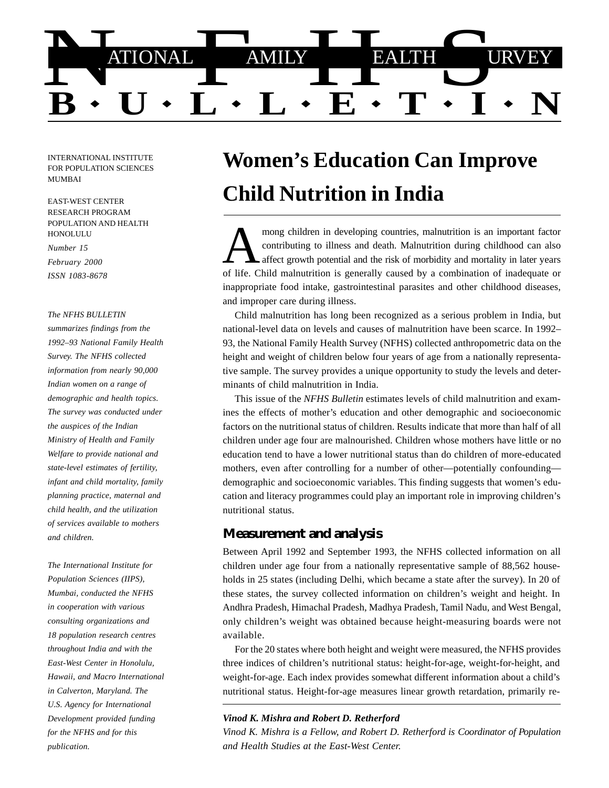

INTERNATIONAL INSTITUTE FOR POPULATION SCIENCES MUMBAI

EAST-WEST CENTER RESEARCH PROGRAM POPULATION AND HEALTH HONOLULU

*Number 15*

*February 2000 ISSN 1083-8678*

*The NFHS BULLETIN*

*summarizes findings from the 1992–93 National Family Health Survey. The NFHS collected information from nearly 90,000 Indian women on a range of demographic and health topics. The survey was conducted under the auspices of the Indian Ministry of Health and Family Welfare to provide national and state-level estimates of fertility, infant and child mortality, family planning practice, maternal and child health, and the utilization of services available to mothers and children.*

*The International Institute for Population Sciences (IIPS), Mumbai, conducted the NFHS in cooperation with various consulting organizations and 18 population research centres throughout India and with the East-West Center in Honolulu, Hawaii, and Macro International in Calverton, Maryland. The U.S. Agency for International Development provided funding for the NFHS and for this publication.*

# **Women's Education Can Improve Child Nutrition in India**

mong children in developing countries, malnutrition is an important factor<br>contributing to illness and death. Malnutrition during childhood can also<br>affect growth potential and the risk of morbidity and mortality in later contributing to illness and death. Malnutrition during childhood can also affect growth potential and the risk of morbidity and mortality in later years of life. Child malnutrition is generally caused by a combination of inadequate or inappropriate food intake, gastrointestinal parasites and other childhood diseases, and improper care during illness.

Child malnutrition has long been recognized as a serious problem in India, but national-level data on levels and causes of malnutrition have been scarce. In 1992– 93, the National Family Health Survey (NFHS) collected anthropometric data on the height and weight of children below four years of age from a nationally representative sample. The survey provides a unique opportunity to study the levels and determinants of child malnutrition in India.

This issue of the *NFHS Bulletin* estimates levels of child malnutrition and examines the effects of mother's education and other demographic and socioeconomic factors on the nutritional status of children. Results indicate that more than half of all children under age four are malnourished. Children whose mothers have little or no education tend to have a lower nutritional status than do children of more-educated mothers, even after controlling for a number of other—potentially confounding demographic and socioeconomic variables. This finding suggests that women's education and literacy programmes could play an important role in improving children's nutritional status.

# **Measurement and analysis**

Between April 1992 and September 1993, the NFHS collected information on all children under age four from a nationally representative sample of 88,562 households in 25 states (including Delhi, which became a state after the survey). In 20 of these states, the survey collected information on children's weight and height. In Andhra Pradesh, Himachal Pradesh, Madhya Pradesh, Tamil Nadu, and West Bengal, only children's weight was obtained because height-measuring boards were not available.

For the 20 states where both height and weight were measured, the NFHS provides three indices of children's nutritional status: height-for-age, weight-for-height, and weight-for-age. Each index provides somewhat different information about a child's nutritional status. Height-for-age measures linear growth retardation, primarily re-

### *Vinod K. Mishra and Robert D. Retherford*

*Vinod K. Mishra is a Fellow, and Robert D. Retherford is Coordinator of Population and Health Studies at the East-West Center.*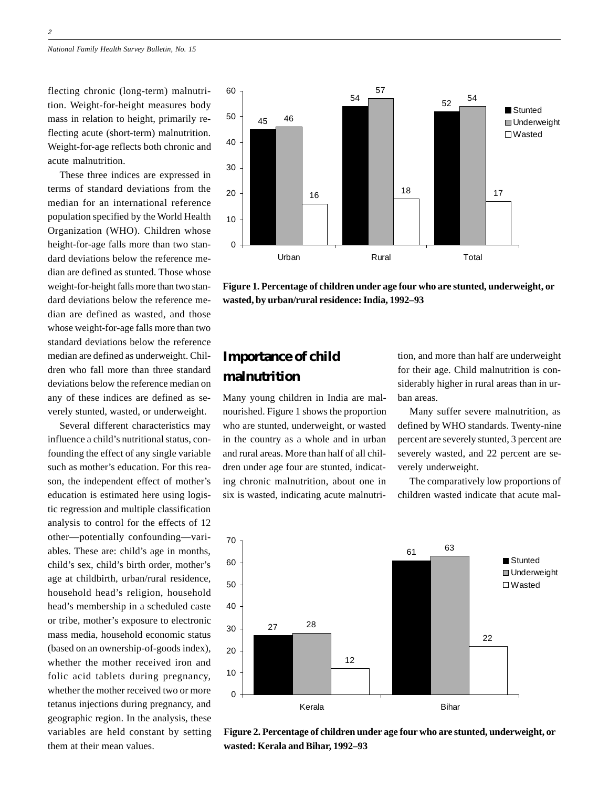flecting chronic (long-term) malnutrition. Weight-for-height measures body mass in relation to height, primarily reflecting acute (short-term) malnutrition. Weight-for-age reflects both chronic and acute malnutrition.

These three indices are expressed in terms of standard deviations from the median for an international reference population specified by the World Health Organization (WHO). Children whose height-for-age falls more than two standard deviations below the reference median are defined as stunted. Those whose weight-for-height falls more than two standard deviations below the reference median are defined as wasted, and those whose weight-for-age falls more than two standard deviations below the reference median are defined as underweight. Children who fall more than three standard deviations below the reference median on any of these indices are defined as severely stunted, wasted, or underweight.

Several different characteristics may influence a child's nutritional status, confounding the effect of any single variable such as mother's education. For this reason, the independent effect of mother's education is estimated here using logistic regression and multiple classification analysis to control for the effects of 12 other—potentially confounding—variables. These are: child's age in months, child's sex, child's birth order, mother's age at childbirth, urban/rural residence, household head's religion, household head's membership in a scheduled caste or tribe, mother's exposure to electronic mass media, household economic status (based on an ownership-of-goods index), whether the mother received iron and folic acid tablets during pregnancy, whether the mother received two or more tetanus injections during pregnancy, and geographic region. In the analysis, these variables are held constant by setting them at their mean values.



**Figure 1. Percentage of children under age four who are stunted, underweight, or wasted, by urban/rural residence: India, 1992–93**

# **Importance of child malnutrition**

Many young children in India are malnourished. Figure 1 shows the proportion who are stunted, underweight, or wasted in the country as a whole and in urban and rural areas. More than half of all children under age four are stunted, indicating chronic malnutrition, about one in six is wasted, indicating acute malnutrition, and more than half are underweight for their age. Child malnutrition is considerably higher in rural areas than in urban areas.

Many suffer severe malnutrition, as defined by WHO standards. Twenty-nine percent are severely stunted, 3 percent are severely wasted, and 22 percent are severely underweight.

The comparatively low proportions of children wasted indicate that acute mal-



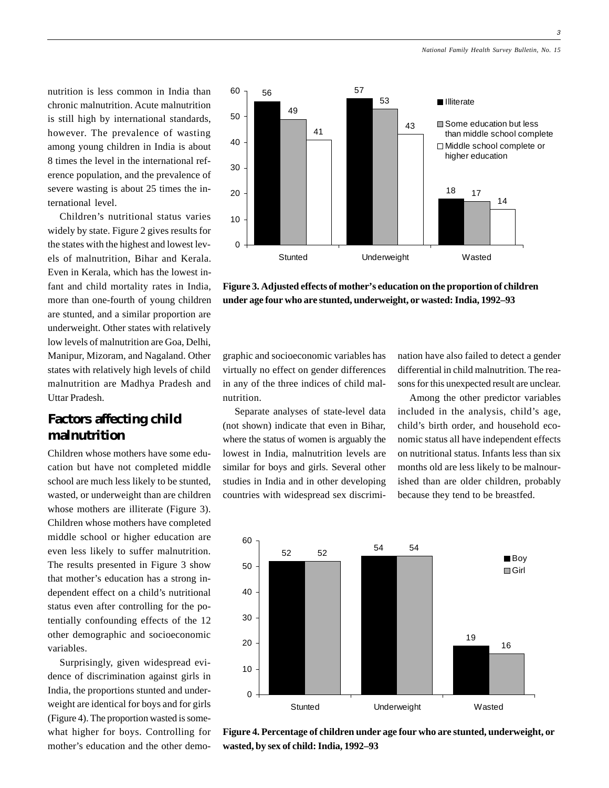3

nutrition is less common in India than chronic malnutrition. Acute malnutrition is still high by international standards, however. The prevalence of wasting among young children in India is about 8 times the level in the international reference population, and the prevalence of severe wasting is about 25 times the international level.

Children's nutritional status varies widely by state. Figure 2 gives results for the states with the highest and lowest levels of malnutrition, Bihar and Kerala. Even in Kerala, which has the lowest infant and child mortality rates in India, more than one-fourth of young children are stunted, and a similar proportion are underweight. Other states with relatively low levels of malnutrition are Goa, Delhi, Manipur, Mizoram, and Nagaland. Other states with relatively high levels of child malnutrition are Madhya Pradesh and Uttar Pradesh.

# **Factors affecting child malnutrition**

Children whose mothers have some education but have not completed middle school are much less likely to be stunted, wasted, or underweight than are children whose mothers are illiterate (Figure 3). Children whose mothers have completed middle school or higher education are even less likely to suffer malnutrition. The results presented in Figure 3 show that mother's education has a strong independent effect on a child's nutritional status even after controlling for the potentially confounding effects of the 12 other demographic and socioeconomic variables.

Surprisingly, given widespread evidence of discrimination against girls in India, the proportions stunted and underweight are identical for boys and for girls (Figure 4). The proportion wasted is somewhat higher for boys. Controlling for mother's education and the other demo-



**Figure 3. Adjusted effects of mother's education on the proportion of children under age four who are stunted, underweight, or wasted: India, 1992–93**

graphic and socioeconomic variables has virtually no effect on gender differences in any of the three indices of child malnutrition.

Separate analyses of state-level data (not shown) indicate that even in Bihar, where the status of women is arguably the lowest in India, malnutrition levels are similar for boys and girls. Several other studies in India and in other developing countries with widespread sex discrimination have also failed to detect a gender differential in child malnutrition. The reasons for this unexpected result are unclear.

Among the other predictor variables included in the analysis, child's age, child's birth order, and household economic status all have independent effects on nutritional status. Infants less than six months old are less likely to be malnourished than are older children, probably because they tend to be breastfed.